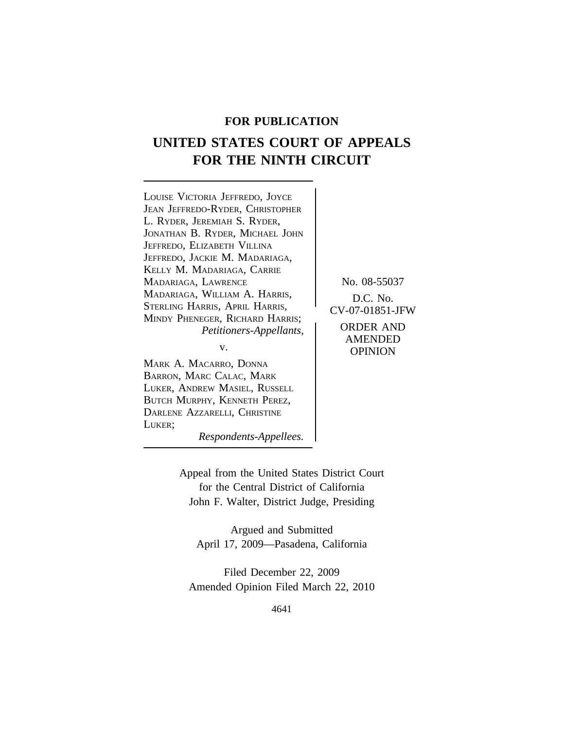# **FOR PUBLICATION**

# **UNITED STATES COURT OF APPEALS FOR THE NINTH CIRCUIT**

<sup>L</sup>OUISE VICTORIA JEFFREDO, JOYCE JEAN JEFFREDO-RYDER, CHRISTOPHER L. RYDER, JEREMIAH S. RYDER, JONATHAN B. RYDER, MICHAEL JOHN JEFFREDO, ELIZABETH VILLINA JEFFREDO, JACKIE M. MADARIAGA, KELLY M. MADARIAGA, CARRIE MADARIAGA, LAWRENCE No. 08-55037 MADARIAGA, WILLIAM A. HARRIS,<br>STERLING HARRIS, APRIL HARRIS, CV-07-01851-JFW STERLING HARRIS, APRIL HARRIS, <sup>M</sup>INDY PHENEGER, RICHARD HARRIS; *Petitioners-Appellants,* ORDER AND

MARK A. MACARRO, DONNA BARRON, MARC CALAC, MARK LUKER, ANDREW MASIEL, RUSSELL BUTCH MURPHY, KENNETH PEREZ, DARLENE AZZARELLI, CHRISTINE LUKER;

AMENDED v. **OPINION** 

*Respondents-Appellees.*

Appeal from the United States District Court for the Central District of California John F. Walter, District Judge, Presiding

Argued and Submitted April 17, 2009—Pasadena, California

Filed December 22, 2009 Amended Opinion Filed March 22, 2010

4641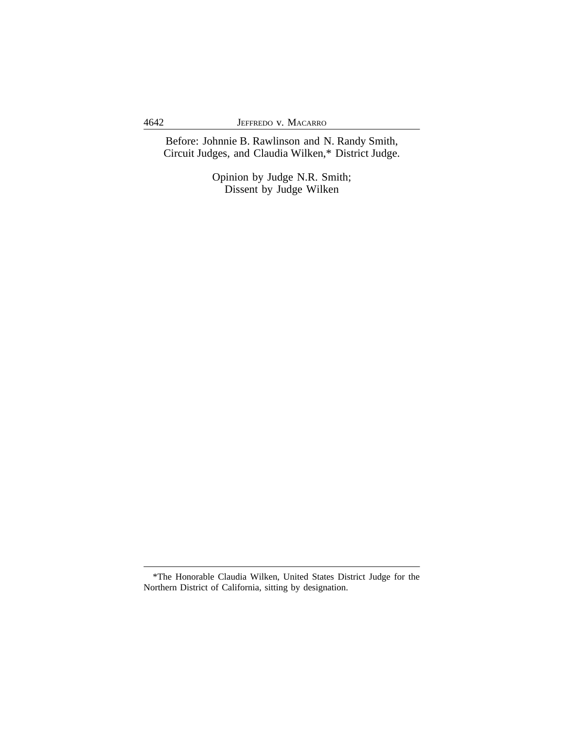Before: Johnnie B. Rawlinson and N. Randy Smith, Circuit Judges, and Claudia Wilken,\* District Judge.

> Opinion by Judge N.R. Smith; Dissent by Judge Wilken

<sup>\*</sup>The Honorable Claudia Wilken, United States District Judge for the Northern District of California, sitting by designation.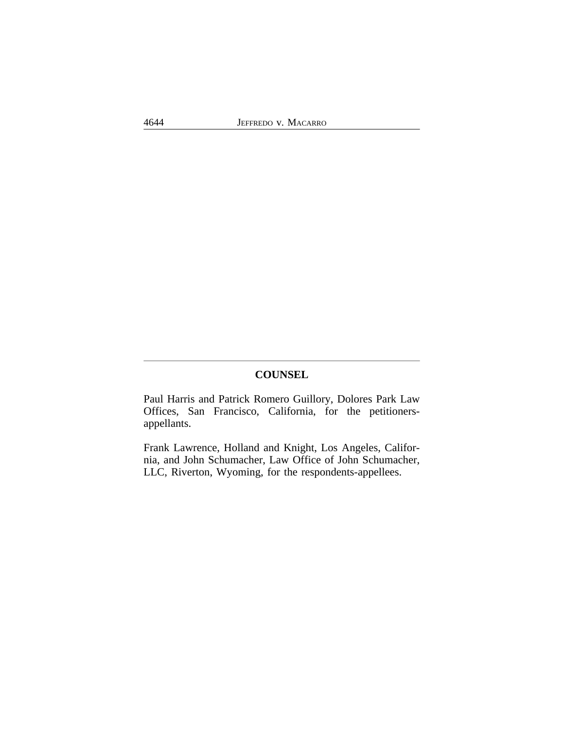# **COUNSEL**

Paul Harris and Patrick Romero Guillory, Dolores Park Law Offices, San Francisco, California, for the petitionersappellants.

Frank Lawrence, Holland and Knight, Los Angeles, California, and John Schumacher, Law Office of John Schumacher, LLC, Riverton, Wyoming, for the respondents-appellees.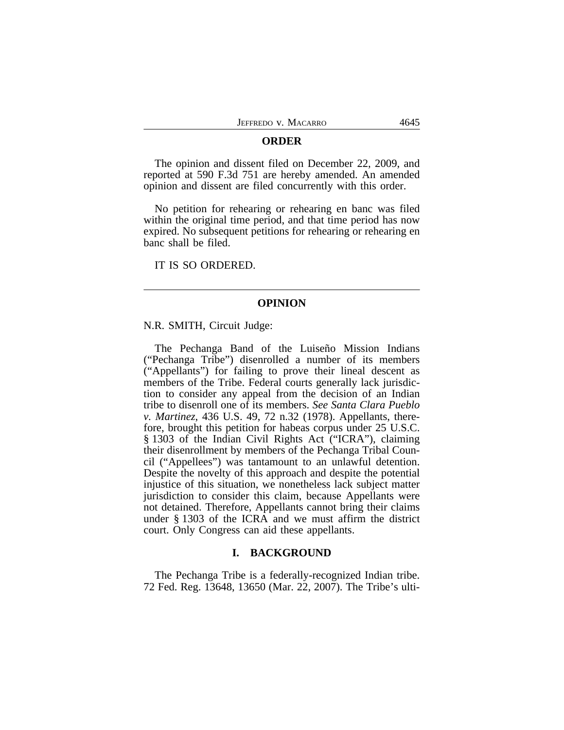#### **ORDER**

The opinion and dissent filed on December 22, 2009, and reported at 590 F.3d 751 are hereby amended. An amended opinion and dissent are filed concurrently with this order.

No petition for rehearing or rehearing en banc was filed within the original time period, and that time period has now expired. No subsequent petitions for rehearing or rehearing en banc shall be filed.

IT IS SO ORDERED.

#### **OPINION**

N.R. SMITH, Circuit Judge:

The Pechanga Band of the Luiseño Mission Indians ("Pechanga Tribe") disenrolled a number of its members ("Appellants") for failing to prove their lineal descent as members of the Tribe. Federal courts generally lack jurisdiction to consider any appeal from the decision of an Indian tribe to disenroll one of its members. *See Santa Clara Pueblo v. Martinez*, 436 U.S. 49, 72 n.32 (1978). Appellants, therefore, brought this petition for habeas corpus under 25 U.S.C. § 1303 of the Indian Civil Rights Act ("ICRA"), claiming their disenrollment by members of the Pechanga Tribal Council ("Appellees") was tantamount to an unlawful detention. Despite the novelty of this approach and despite the potential injustice of this situation, we nonetheless lack subject matter jurisdiction to consider this claim, because Appellants were not detained. Therefore, Appellants cannot bring their claims under § 1303 of the ICRA and we must affirm the district court. Only Congress can aid these appellants.

## **I. BACKGROUND**

The Pechanga Tribe is a federally-recognized Indian tribe. 72 Fed. Reg. 13648, 13650 (Mar. 22, 2007). The Tribe's ulti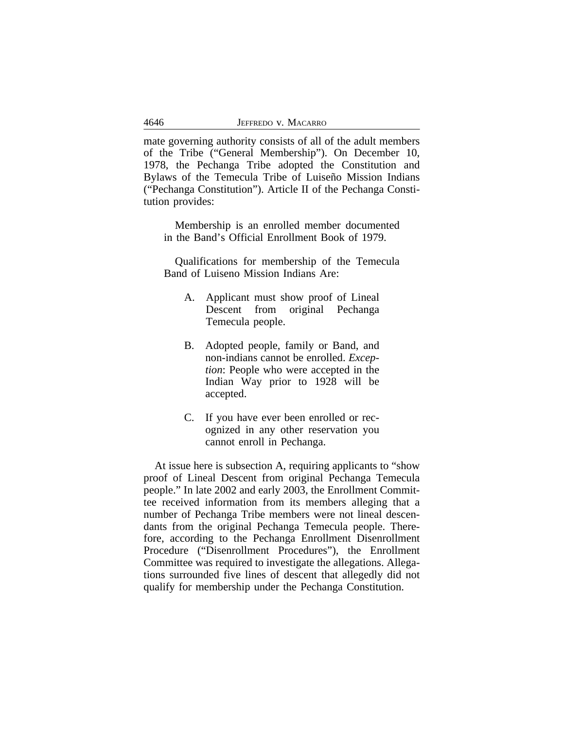mate governing authority consists of all of the adult members of the Tribe ("General Membership"). On December 10, 1978, the Pechanga Tribe adopted the Constitution and Bylaws of the Temecula Tribe of Luiseño Mission Indians ("Pechanga Constitution"). Article II of the Pechanga Constitution provides:

Membership is an enrolled member documented in the Band's Official Enrollment Book of 1979.

Qualifications for membership of the Temecula Band of Luiseno Mission Indians Are:

- A. Applicant must show proof of Lineal Descent from original Pechanga Temecula people.
- B. Adopted people, family or Band, and non-indians cannot be enrolled. *Exception*: People who were accepted in the Indian Way prior to 1928 will be accepted.
- C. If you have ever been enrolled or recognized in any other reservation you cannot enroll in Pechanga.

At issue here is subsection A, requiring applicants to "show proof of Lineal Descent from original Pechanga Temecula people." In late 2002 and early 2003, the Enrollment Committee received information from its members alleging that a number of Pechanga Tribe members were not lineal descendants from the original Pechanga Temecula people. Therefore, according to the Pechanga Enrollment Disenrollment Procedure ("Disenrollment Procedures"), the Enrollment Committee was required to investigate the allegations. Allegations surrounded five lines of descent that allegedly did not qualify for membership under the Pechanga Constitution.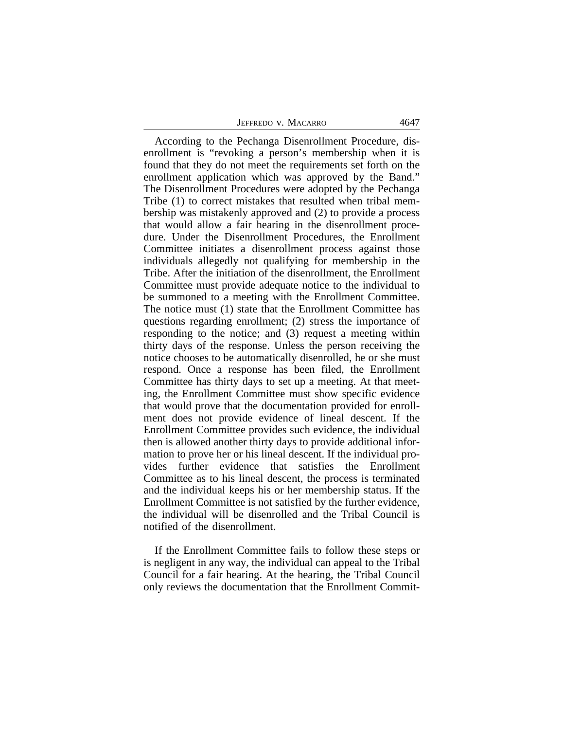JEFFREDO V. MACARRO 4647

According to the Pechanga Disenrollment Procedure, disenrollment is "revoking a person's membership when it is found that they do not meet the requirements set forth on the enrollment application which was approved by the Band." The Disenrollment Procedures were adopted by the Pechanga Tribe (1) to correct mistakes that resulted when tribal membership was mistakenly approved and (2) to provide a process that would allow a fair hearing in the disenrollment procedure. Under the Disenrollment Procedures, the Enrollment Committee initiates a disenrollment process against those individuals allegedly not qualifying for membership in the Tribe. After the initiation of the disenrollment, the Enrollment Committee must provide adequate notice to the individual to be summoned to a meeting with the Enrollment Committee. The notice must (1) state that the Enrollment Committee has questions regarding enrollment; (2) stress the importance of responding to the notice; and (3) request a meeting within thirty days of the response. Unless the person receiving the notice chooses to be automatically disenrolled, he or she must respond. Once a response has been filed, the Enrollment Committee has thirty days to set up a meeting. At that meeting, the Enrollment Committee must show specific evidence that would prove that the documentation provided for enrollment does not provide evidence of lineal descent. If the Enrollment Committee provides such evidence, the individual then is allowed another thirty days to provide additional information to prove her or his lineal descent. If the individual provides further evidence that satisfies the Enrollment Committee as to his lineal descent, the process is terminated and the individual keeps his or her membership status. If the Enrollment Committee is not satisfied by the further evidence, the individual will be disenrolled and the Tribal Council is notified of the disenrollment.

If the Enrollment Committee fails to follow these steps or is negligent in any way, the individual can appeal to the Tribal Council for a fair hearing. At the hearing, the Tribal Council only reviews the documentation that the Enrollment Commit-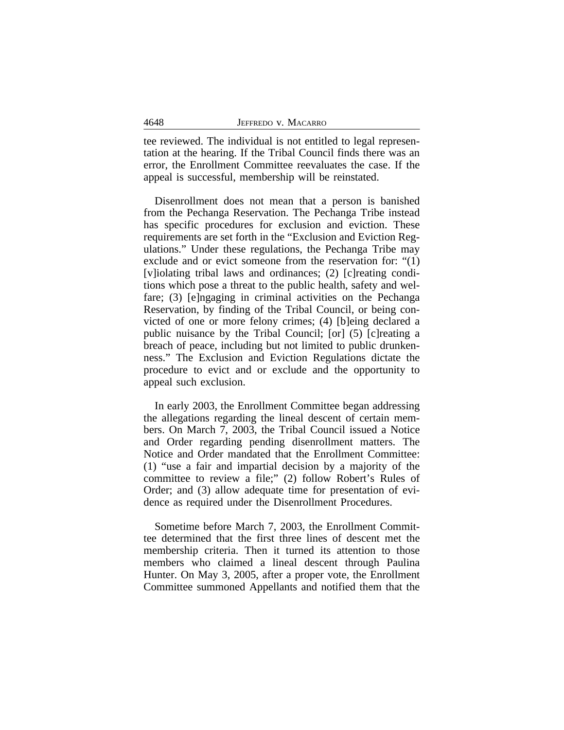tee reviewed. The individual is not entitled to legal representation at the hearing. If the Tribal Council finds there was an error, the Enrollment Committee reevaluates the case. If the appeal is successful, membership will be reinstated.

Disenrollment does not mean that a person is banished from the Pechanga Reservation. The Pechanga Tribe instead has specific procedures for exclusion and eviction. These requirements are set forth in the "Exclusion and Eviction Regulations." Under these regulations, the Pechanga Tribe may exclude and or evict someone from the reservation for: "(1) [v]iolating tribal laws and ordinances; (2) [c]reating conditions which pose a threat to the public health, safety and welfare; (3) [e]ngaging in criminal activities on the Pechanga Reservation, by finding of the Tribal Council, or being convicted of one or more felony crimes; (4) [b]eing declared a public nuisance by the Tribal Council; [or] (5) [c]reating a breach of peace, including but not limited to public drunkenness." The Exclusion and Eviction Regulations dictate the procedure to evict and or exclude and the opportunity to appeal such exclusion.

In early 2003, the Enrollment Committee began addressing the allegations regarding the lineal descent of certain members. On March 7, 2003, the Tribal Council issued a Notice and Order regarding pending disenrollment matters. The Notice and Order mandated that the Enrollment Committee: (1) "use a fair and impartial decision by a majority of the committee to review a file;" (2) follow Robert's Rules of Order; and (3) allow adequate time for presentation of evidence as required under the Disenrollment Procedures.

Sometime before March 7, 2003, the Enrollment Committee determined that the first three lines of descent met the membership criteria. Then it turned its attention to those members who claimed a lineal descent through Paulina Hunter. On May 3, 2005, after a proper vote, the Enrollment Committee summoned Appellants and notified them that the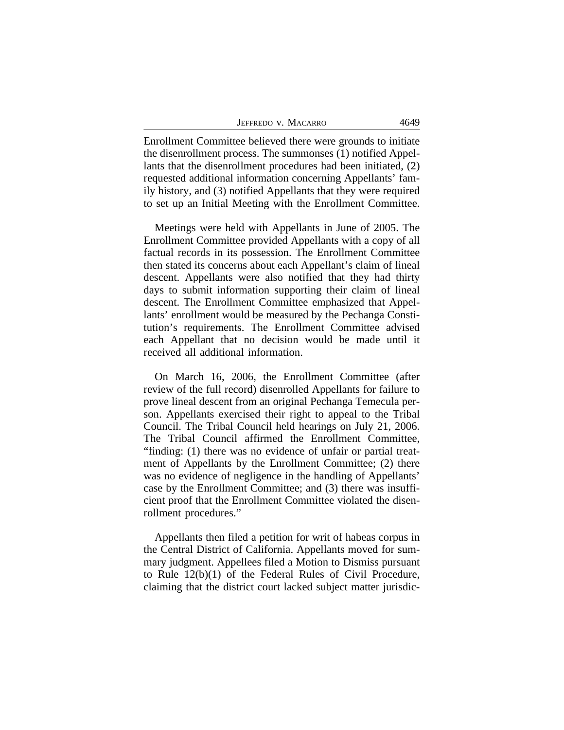|                     | 4649 |
|---------------------|------|
| Jeffredo v. Macarro |      |

Enrollment Committee believed there were grounds to initiate the disenrollment process. The summonses (1) notified Appellants that the disenrollment procedures had been initiated, (2) requested additional information concerning Appellants' family history, and (3) notified Appellants that they were required to set up an Initial Meeting with the Enrollment Committee.

Meetings were held with Appellants in June of 2005. The Enrollment Committee provided Appellants with a copy of all factual records in its possession. The Enrollment Committee then stated its concerns about each Appellant's claim of lineal descent. Appellants were also notified that they had thirty days to submit information supporting their claim of lineal descent. The Enrollment Committee emphasized that Appellants' enrollment would be measured by the Pechanga Constitution's requirements. The Enrollment Committee advised each Appellant that no decision would be made until it received all additional information.

On March 16, 2006, the Enrollment Committee (after review of the full record) disenrolled Appellants for failure to prove lineal descent from an original Pechanga Temecula person. Appellants exercised their right to appeal to the Tribal Council. The Tribal Council held hearings on July 21, 2006. The Tribal Council affirmed the Enrollment Committee, "finding: (1) there was no evidence of unfair or partial treatment of Appellants by the Enrollment Committee; (2) there was no evidence of negligence in the handling of Appellants' case by the Enrollment Committee; and (3) there was insufficient proof that the Enrollment Committee violated the disenrollment procedures."

Appellants then filed a petition for writ of habeas corpus in the Central District of California. Appellants moved for summary judgment. Appellees filed a Motion to Dismiss pursuant to Rule 12(b)(1) of the Federal Rules of Civil Procedure, claiming that the district court lacked subject matter jurisdic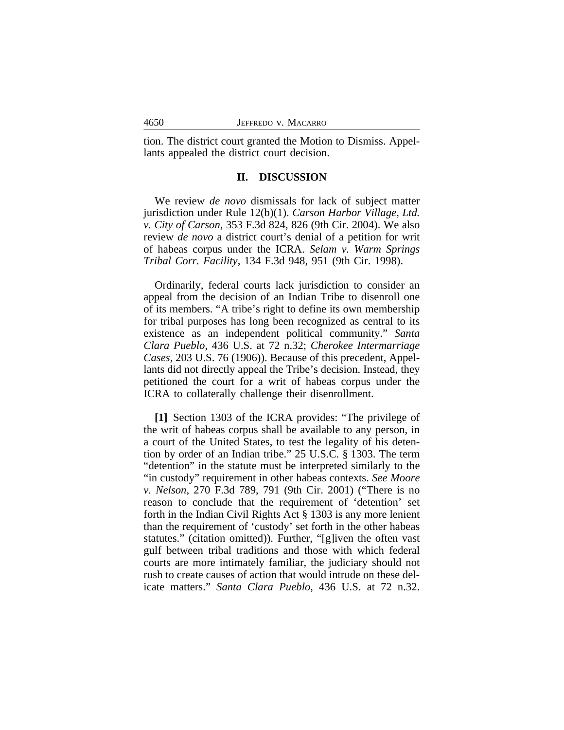tion. The district court granted the Motion to Dismiss. Appellants appealed the district court decision.

## **II. DISCUSSION**

We review *de novo* dismissals for lack of subject matter jurisdiction under Rule 12(b)(1). *Carson Harbor Village, Ltd. v. City of Carson*, 353 F.3d 824, 826 (9th Cir. 2004). We also review *de novo* a district court's denial of a petition for writ of habeas corpus under the ICRA. *Selam v. Warm Springs Tribal Corr. Facility*, 134 F.3d 948, 951 (9th Cir. 1998).

Ordinarily, federal courts lack jurisdiction to consider an appeal from the decision of an Indian Tribe to disenroll one of its members. "A tribe's right to define its own membership for tribal purposes has long been recognized as central to its existence as an independent political community." *Santa Clara Pueblo*, 436 U.S. at 72 n.32; *Cherokee Intermarriage Cases*, 203 U.S. 76 (1906)). Because of this precedent, Appellants did not directly appeal the Tribe's decision. Instead, they petitioned the court for a writ of habeas corpus under the ICRA to collaterally challenge their disenrollment.

**[1]** Section 1303 of the ICRA provides: "The privilege of the writ of habeas corpus shall be available to any person, in a court of the United States, to test the legality of his detention by order of an Indian tribe." 25 U.S.C. § 1303. The term "detention" in the statute must be interpreted similarly to the "in custody" requirement in other habeas contexts. *See Moore v. Nelson*, 270 F.3d 789, 791 (9th Cir. 2001) ("There is no reason to conclude that the requirement of 'detention' set forth in the Indian Civil Rights Act § 1303 is any more lenient than the requirement of 'custody' set forth in the other habeas statutes." (citation omitted)). Further, "[g]iven the often vast gulf between tribal traditions and those with which federal courts are more intimately familiar, the judiciary should not rush to create causes of action that would intrude on these delicate matters." *Santa Clara Pueblo*, 436 U.S. at 72 n.32.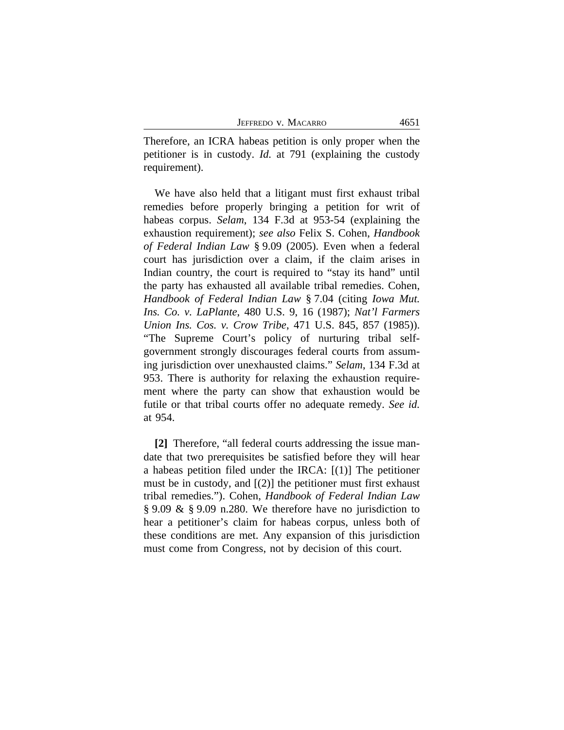| 4651<br>JEFFREDO V. MACARRO |  |
|-----------------------------|--|
|-----------------------------|--|

Therefore, an ICRA habeas petition is only proper when the petitioner is in custody. *Id.* at 791 (explaining the custody requirement).

We have also held that a litigant must first exhaust tribal remedies before properly bringing a petition for writ of habeas corpus. *Selam*, 134 F.3d at 953-54 (explaining the exhaustion requirement); *see also* Felix S. Cohen, *Handbook of Federal Indian Law* § 9.09 (2005). Even when a federal court has jurisdiction over a claim, if the claim arises in Indian country, the court is required to "stay its hand" until the party has exhausted all available tribal remedies. Cohen, *Handbook of Federal Indian Law* § 7.04 (citing *Iowa Mut. Ins. Co. v. LaPlante*, 480 U.S. 9, 16 (1987); *Nat'l Farmers Union Ins. Cos. v. Crow Tribe*, 471 U.S. 845, 857 (1985)). "The Supreme Court's policy of nurturing tribal selfgovernment strongly discourages federal courts from assuming jurisdiction over unexhausted claims." *Selam*, 134 F.3d at 953. There is authority for relaxing the exhaustion requirement where the party can show that exhaustion would be futile or that tribal courts offer no adequate remedy. *See id.* at 954.

**[2]** Therefore, "all federal courts addressing the issue mandate that two prerequisites be satisfied before they will hear a habeas petition filed under the IRCA: [(1)] The petitioner must be in custody, and [(2)] the petitioner must first exhaust tribal remedies."). Cohen, *Handbook of Federal Indian Law* § 9.09 & § 9.09 n.280. We therefore have no jurisdiction to hear a petitioner's claim for habeas corpus, unless both of these conditions are met. Any expansion of this jurisdiction must come from Congress, not by decision of this court.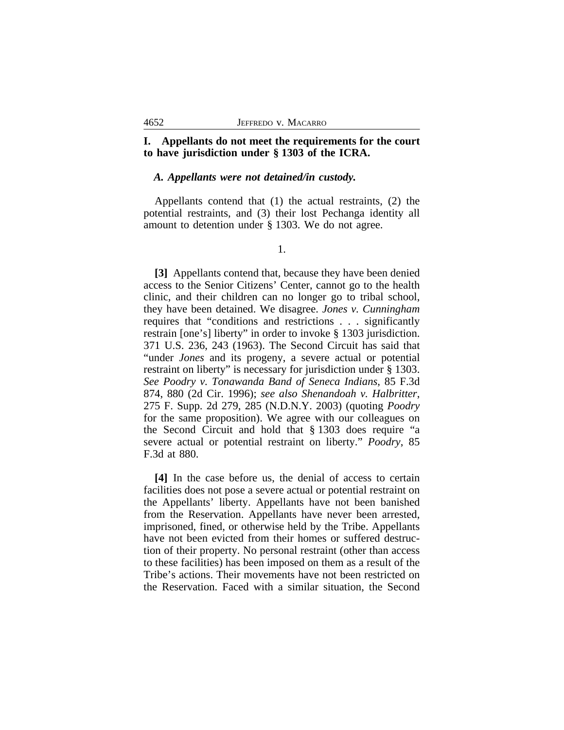# **I. Appellants do not meet the requirements for the court to have jurisdiction under § 1303 of the ICRA.**

## *A. Appellants were not detained/in custody.*

Appellants contend that (1) the actual restraints, (2) the potential restraints, and (3) their lost Pechanga identity all amount to detention under § 1303. We do not agree.

1.

**[3]** Appellants contend that, because they have been denied access to the Senior Citizens' Center, cannot go to the health clinic, and their children can no longer go to tribal school, they have been detained. We disagree. *Jones v. Cunningham* requires that "conditions and restrictions . . . significantly restrain [one's] liberty" in order to invoke § 1303 jurisdiction. 371 U.S. 236, 243 (1963). The Second Circuit has said that "under *Jones* and its progeny, a severe actual or potential restraint on liberty" is necessary for jurisdiction under § 1303. *See Poodry v. Tonawanda Band of Seneca Indians*, 85 F.3d 874, 880 (2d Cir. 1996); *see also Shenandoah v. Halbritter*, 275 F. Supp. 2d 279, 285 (N.D.N.Y. 2003) (quoting *Poodry* for the same proposition). We agree with our colleagues on the Second Circuit and hold that § 1303 does require "a severe actual or potential restraint on liberty." *Poodry*, 85 F.3d at 880.

**[4]** In the case before us, the denial of access to certain facilities does not pose a severe actual or potential restraint on the Appellants' liberty. Appellants have not been banished from the Reservation. Appellants have never been arrested, imprisoned, fined, or otherwise held by the Tribe. Appellants have not been evicted from their homes or suffered destruction of their property. No personal restraint (other than access to these facilities) has been imposed on them as a result of the Tribe's actions. Their movements have not been restricted on the Reservation. Faced with a similar situation, the Second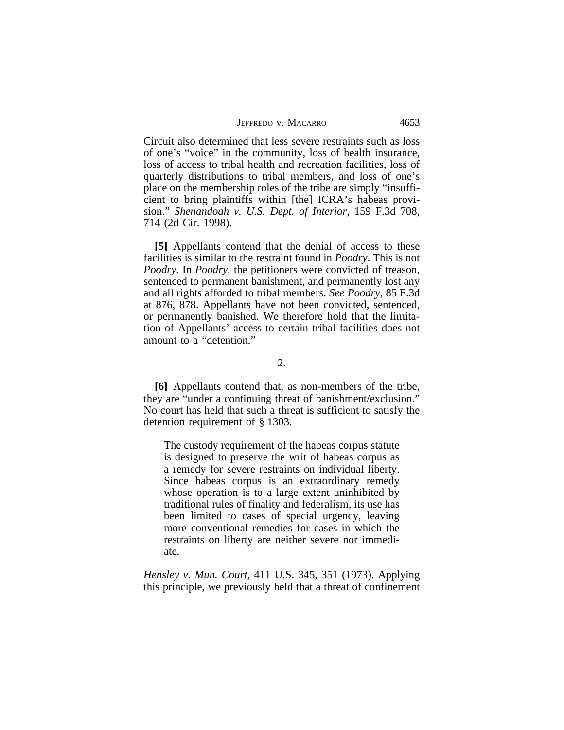JEFFREDO V. MACARRO 4653

Circuit also determined that less severe restraints such as loss of one's "voice" in the community, loss of health insurance, loss of access to tribal health and recreation facilities, loss of quarterly distributions to tribal members, and loss of one's place on the membership roles of the tribe are simply "insufficient to bring plaintiffs within [the] ICRA's habeas provision." *Shenandoah v. U.S. Dept. of Interior*, 159 F.3d 708, 714 (2d Cir. 1998).

**[5]** Appellants contend that the denial of access to these facilities is similar to the restraint found in *Poodry*. This is not *Poodry*. In *Poodry*, the petitioners were convicted of treason, sentenced to permanent banishment, and permanently lost any and all rights afforded to tribal members. *See Poodry*, 85 F.3d at 876, 878. Appellants have not been convicted, sentenced, or permanently banished. We therefore hold that the limitation of Appellants' access to certain tribal facilities does not amount to a "detention."

2.

**[6]** Appellants contend that, as non-members of the tribe, they are "under a continuing threat of banishment/exclusion." No court has held that such a threat is sufficient to satisfy the detention requirement of § 1303.

The custody requirement of the habeas corpus statute is designed to preserve the writ of habeas corpus as a remedy for severe restraints on individual liberty. Since habeas corpus is an extraordinary remedy whose operation is to a large extent uninhibited by traditional rules of finality and federalism, its use has been limited to cases of special urgency, leaving more conventional remedies for cases in which the restraints on liberty are neither severe nor immediate.

*Hensley v. Mun. Court*, 411 U.S. 345, 351 (1973). Applying this principle, we previously held that a threat of confinement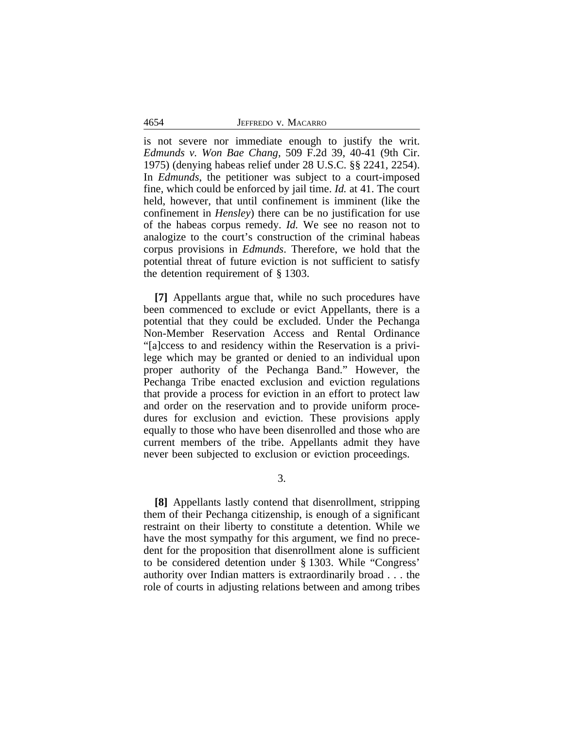4654 JEFFREDO v. MACARRO

is not severe nor immediate enough to justify the writ. *Edmunds v. Won Bae Chang*, 509 F.2d 39, 40-41 (9th Cir. 1975) (denying habeas relief under 28 U.S.C. §§ 2241, 2254). In *Edmunds*, the petitioner was subject to a court-imposed fine, which could be enforced by jail time. *Id.* at 41. The court held, however, that until confinement is imminent (like the confinement in *Hensley*) there can be no justification for use of the habeas corpus remedy. *Id.* We see no reason not to analogize to the court's construction of the criminal habeas corpus provisions in *Edmunds*. Therefore, we hold that the potential threat of future eviction is not sufficient to satisfy the detention requirement of § 1303.

**[7]** Appellants argue that, while no such procedures have been commenced to exclude or evict Appellants, there is a potential that they could be excluded. Under the Pechanga Non-Member Reservation Access and Rental Ordinance "[a]ccess to and residency within the Reservation is a privilege which may be granted or denied to an individual upon proper authority of the Pechanga Band." However, the Pechanga Tribe enacted exclusion and eviction regulations that provide a process for eviction in an effort to protect law and order on the reservation and to provide uniform procedures for exclusion and eviction. These provisions apply equally to those who have been disenrolled and those who are current members of the tribe. Appellants admit they have never been subjected to exclusion or eviction proceedings.

3.

**[8]** Appellants lastly contend that disenrollment, stripping them of their Pechanga citizenship, is enough of a significant restraint on their liberty to constitute a detention. While we have the most sympathy for this argument, we find no precedent for the proposition that disenrollment alone is sufficient to be considered detention under § 1303. While "Congress' authority over Indian matters is extraordinarily broad . . . the role of courts in adjusting relations between and among tribes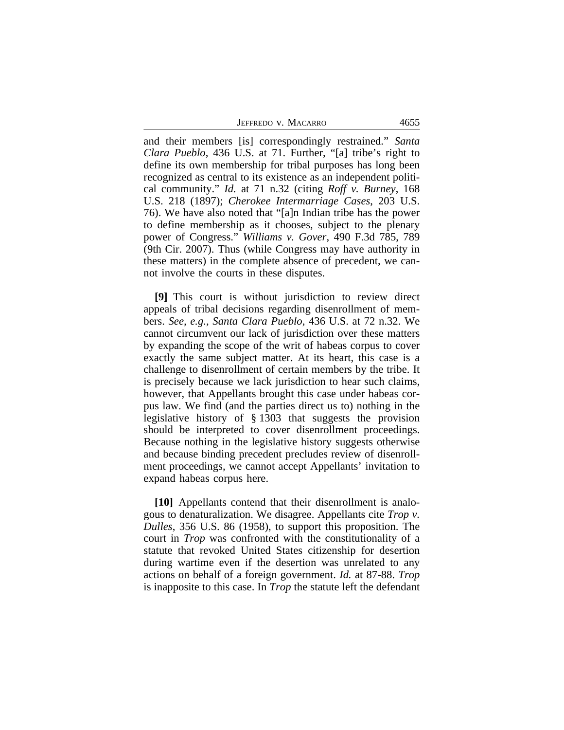JEFFREDO V. MACARRO 4655

and their members [is] correspondingly restrained." *Santa Clara Pueblo*, 436 U.S. at 71. Further, "[a] tribe's right to define its own membership for tribal purposes has long been recognized as central to its existence as an independent political community." *Id.* at 71 n.32 (citing *Roff v. Burney*, 168 U.S. 218 (1897); *Cherokee Intermarriage Cases*, 203 U.S. 76). We have also noted that "[a]n Indian tribe has the power to define membership as it chooses, subject to the plenary power of Congress." *Williams v. Gover*, 490 F.3d 785, 789 (9th Cir. 2007). Thus (while Congress may have authority in these matters) in the complete absence of precedent, we cannot involve the courts in these disputes.

**[9]** This court is without jurisdiction to review direct appeals of tribal decisions regarding disenrollment of members. *See, e.g., Santa Clara Pueblo*, 436 U.S. at 72 n.32. We cannot circumvent our lack of jurisdiction over these matters by expanding the scope of the writ of habeas corpus to cover exactly the same subject matter. At its heart, this case is a challenge to disenrollment of certain members by the tribe. It is precisely because we lack jurisdiction to hear such claims, however, that Appellants brought this case under habeas corpus law. We find (and the parties direct us to) nothing in the legislative history of § 1303 that suggests the provision should be interpreted to cover disenrollment proceedings. Because nothing in the legislative history suggests otherwise and because binding precedent precludes review of disenrollment proceedings, we cannot accept Appellants' invitation to expand habeas corpus here.

**[10]** Appellants contend that their disenrollment is analogous to denaturalization. We disagree. Appellants cite *Trop v. Dulles*, 356 U.S. 86 (1958), to support this proposition. The court in *Trop* was confronted with the constitutionality of a statute that revoked United States citizenship for desertion during wartime even if the desertion was unrelated to any actions on behalf of a foreign government. *Id.* at 87-88. *Trop* is inapposite to this case. In *Trop* the statute left the defendant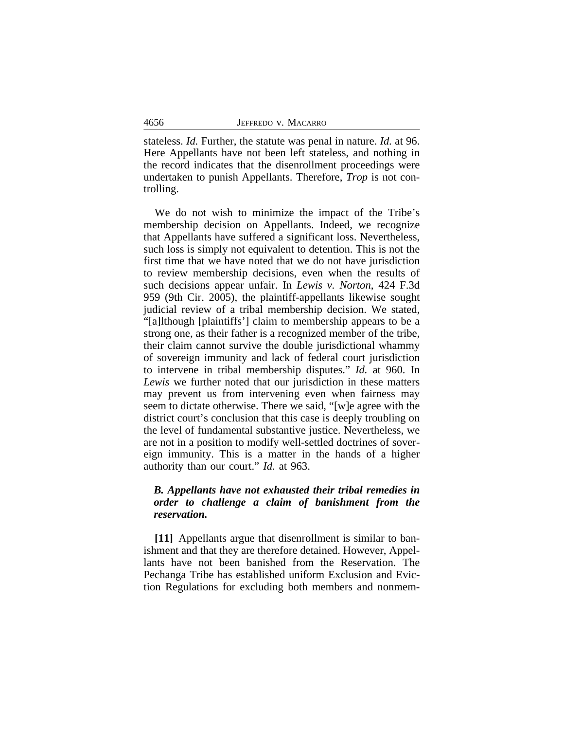stateless. *Id.* Further, the statute was penal in nature. *Id.* at 96. Here Appellants have not been left stateless, and nothing in the record indicates that the disenrollment proceedings were undertaken to punish Appellants. Therefore, *Trop* is not controlling.

We do not wish to minimize the impact of the Tribe's membership decision on Appellants. Indeed, we recognize that Appellants have suffered a significant loss. Nevertheless, such loss is simply not equivalent to detention. This is not the first time that we have noted that we do not have jurisdiction to review membership decisions, even when the results of such decisions appear unfair. In *Lewis v. Norton*, 424 F.3d 959 (9th Cir. 2005), the plaintiff-appellants likewise sought judicial review of a tribal membership decision. We stated, "[a]lthough [plaintiffs'] claim to membership appears to be a strong one, as their father is a recognized member of the tribe, their claim cannot survive the double jurisdictional whammy of sovereign immunity and lack of federal court jurisdiction to intervene in tribal membership disputes." *Id.* at 960. In *Lewis* we further noted that our jurisdiction in these matters may prevent us from intervening even when fairness may seem to dictate otherwise. There we said, "[w]e agree with the district court's conclusion that this case is deeply troubling on the level of fundamental substantive justice. Nevertheless, we are not in a position to modify well-settled doctrines of sovereign immunity. This is a matter in the hands of a higher authority than our court." *Id.* at 963.

# *B. Appellants have not exhausted their tribal remedies in order to challenge a claim of banishment from the reservation.*

**[11]** Appellants argue that disenrollment is similar to banishment and that they are therefore detained. However, Appellants have not been banished from the Reservation. The Pechanga Tribe has established uniform Exclusion and Eviction Regulations for excluding both members and nonmem-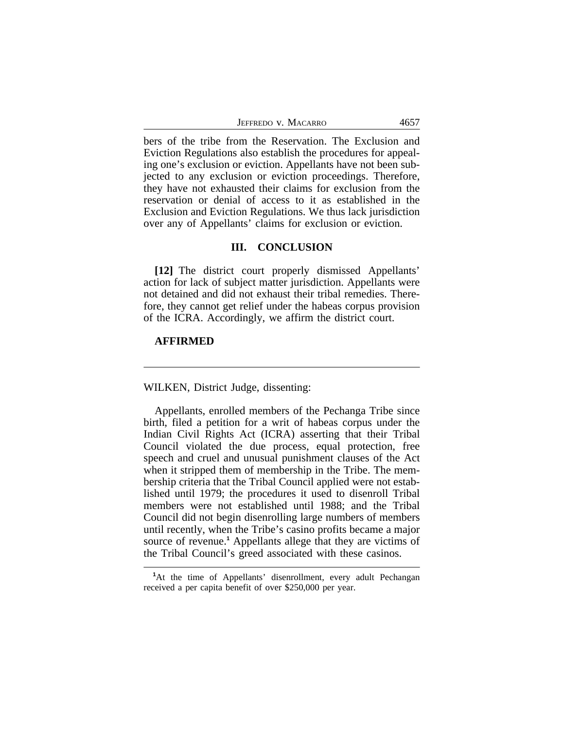| 4657<br>JEFFREDO V. MACARRO |
|-----------------------------|
|-----------------------------|

bers of the tribe from the Reservation. The Exclusion and Eviction Regulations also establish the procedures for appealing one's exclusion or eviction. Appellants have not been subjected to any exclusion or eviction proceedings. Therefore, they have not exhausted their claims for exclusion from the reservation or denial of access to it as established in the Exclusion and Eviction Regulations. We thus lack jurisdiction over any of Appellants' claims for exclusion or eviction.

#### **III. CONCLUSION**

**[12]** The district court properly dismissed Appellants' action for lack of subject matter jurisdiction. Appellants were not detained and did not exhaust their tribal remedies. Therefore, they cannot get relief under the habeas corpus provision of the ICRA. Accordingly, we affirm the district court.

# **AFFIRMED**

WILKEN, District Judge, dissenting:

Appellants, enrolled members of the Pechanga Tribe since birth, filed a petition for a writ of habeas corpus under the Indian Civil Rights Act (ICRA) asserting that their Tribal Council violated the due process, equal protection, free speech and cruel and unusual punishment clauses of the Act when it stripped them of membership in the Tribe. The membership criteria that the Tribal Council applied were not established until 1979; the procedures it used to disenroll Tribal members were not established until 1988; and the Tribal Council did not begin disenrolling large numbers of members until recently, when the Tribe's casino profits became a major source of revenue.<sup>1</sup> Appellants allege that they are victims of the Tribal Council's greed associated with these casinos.

**<sup>1</sup>**At the time of Appellants' disenrollment, every adult Pechangan received a per capita benefit of over \$250,000 per year.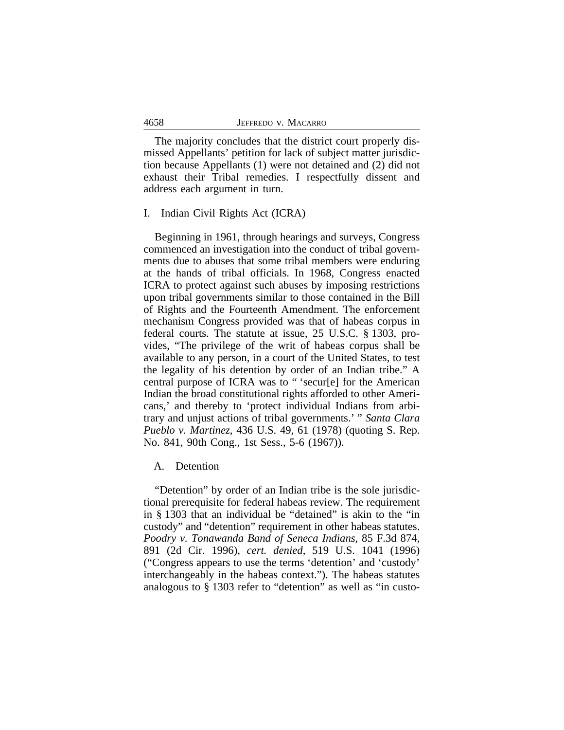The majority concludes that the district court properly dismissed Appellants' petition for lack of subject matter jurisdiction because Appellants (1) were not detained and (2) did not exhaust their Tribal remedies. I respectfully dissent and address each argument in turn.

## I. Indian Civil Rights Act (ICRA)

Beginning in 1961, through hearings and surveys, Congress commenced an investigation into the conduct of tribal governments due to abuses that some tribal members were enduring at the hands of tribal officials. In 1968, Congress enacted ICRA to protect against such abuses by imposing restrictions upon tribal governments similar to those contained in the Bill of Rights and the Fourteenth Amendment. The enforcement mechanism Congress provided was that of habeas corpus in federal courts. The statute at issue, 25 U.S.C. § 1303, provides, "The privilege of the writ of habeas corpus shall be available to any person, in a court of the United States, to test the legality of his detention by order of an Indian tribe." A central purpose of ICRA was to " 'secur[e] for the American Indian the broad constitutional rights afforded to other Americans,' and thereby to 'protect individual Indians from arbitrary and unjust actions of tribal governments.' " *Santa Clara Pueblo v. Martinez*, 436 U.S. 49, 61 (1978) (quoting S. Rep. No. 841, 90th Cong., 1st Sess., 5-6 (1967)).

## A. Detention

"Detention" by order of an Indian tribe is the sole jurisdictional prerequisite for federal habeas review. The requirement in § 1303 that an individual be "detained" is akin to the "in custody" and "detention" requirement in other habeas statutes. *Poodry v. Tonawanda Band of Seneca Indians*, 85 F.3d 874, 891 (2d Cir. 1996), *cert. denied*, 519 U.S. 1041 (1996) ("Congress appears to use the terms 'detention' and 'custody' interchangeably in the habeas context."). The habeas statutes analogous to § 1303 refer to "detention" as well as "in custo-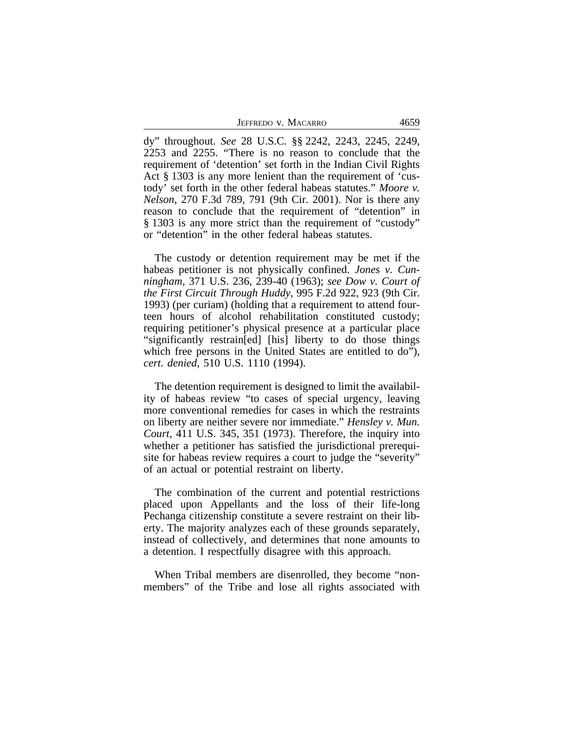dy" throughout. *See* 28 U.S.C. §§ 2242, 2243, 2245, 2249, 2253 and 2255. "There is no reason to conclude that the requirement of 'detention' set forth in the Indian Civil Rights Act § 1303 is any more lenient than the requirement of 'custody' set forth in the other federal habeas statutes." *Moore v. Nelson*, 270 F.3d 789, 791 (9th Cir. 2001). Nor is there any reason to conclude that the requirement of "detention" in § 1303 is any more strict than the requirement of "custody" or "detention" in the other federal habeas statutes.

The custody or detention requirement may be met if the habeas petitioner is not physically confined. *Jones v. Cunningham*, 371 U.S. 236, 239-40 (1963); *see Dow v. Court of the First Circuit Through Huddy*, 995 F.2d 922, 923 (9th Cir. 1993) (per curiam) (holding that a requirement to attend fourteen hours of alcohol rehabilitation constituted custody; requiring petitioner's physical presence at a particular place "significantly restrain[ed] [his] liberty to do those things which free persons in the United States are entitled to do"), *cert. denied*, 510 U.S. 1110 (1994).

The detention requirement is designed to limit the availability of habeas review "to cases of special urgency, leaving more conventional remedies for cases in which the restraints on liberty are neither severe nor immediate." *Hensley v. Mun. Court*, 411 U.S. 345, 351 (1973). Therefore, the inquiry into whether a petitioner has satisfied the jurisdictional prerequisite for habeas review requires a court to judge the "severity" of an actual or potential restraint on liberty.

The combination of the current and potential restrictions placed upon Appellants and the loss of their life-long Pechanga citizenship constitute a severe restraint on their liberty. The majority analyzes each of these grounds separately, instead of collectively, and determines that none amounts to a detention. I respectfully disagree with this approach.

When Tribal members are disenrolled, they become "nonmembers" of the Tribe and lose all rights associated with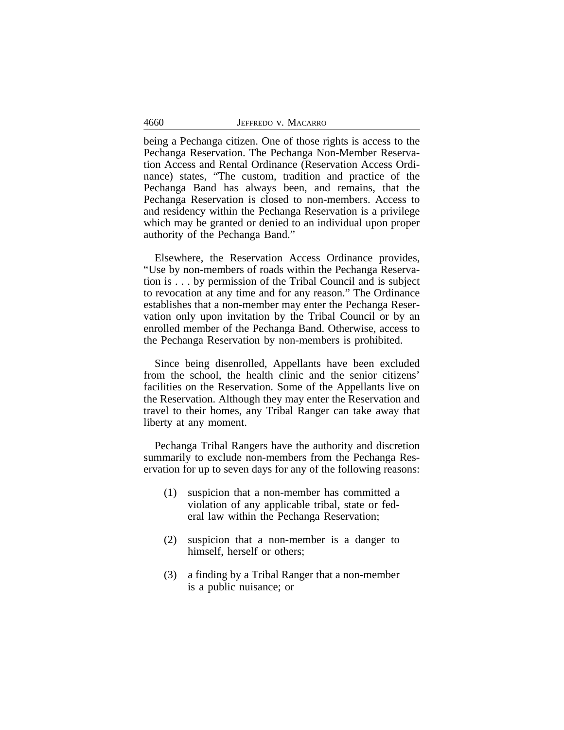| 4660 | JEFFREDO V. MACARRO |  |
|------|---------------------|--|
|      |                     |  |

being a Pechanga citizen. One of those rights is access to the Pechanga Reservation. The Pechanga Non-Member Reservation Access and Rental Ordinance (Reservation Access Ordinance) states, "The custom, tradition and practice of the Pechanga Band has always been, and remains, that the Pechanga Reservation is closed to non-members. Access to and residency within the Pechanga Reservation is a privilege which may be granted or denied to an individual upon proper authority of the Pechanga Band."

Elsewhere, the Reservation Access Ordinance provides, "Use by non-members of roads within the Pechanga Reservation is . . . by permission of the Tribal Council and is subject to revocation at any time and for any reason." The Ordinance establishes that a non-member may enter the Pechanga Reservation only upon invitation by the Tribal Council or by an enrolled member of the Pechanga Band. Otherwise, access to the Pechanga Reservation by non-members is prohibited.

Since being disenrolled, Appellants have been excluded from the school, the health clinic and the senior citizens' facilities on the Reservation. Some of the Appellants live on the Reservation. Although they may enter the Reservation and travel to their homes, any Tribal Ranger can take away that liberty at any moment.

Pechanga Tribal Rangers have the authority and discretion summarily to exclude non-members from the Pechanga Reservation for up to seven days for any of the following reasons:

- (1) suspicion that a non-member has committed a violation of any applicable tribal, state or federal law within the Pechanga Reservation;
- (2) suspicion that a non-member is a danger to himself, herself or others;
- (3) a finding by a Tribal Ranger that a non-member is a public nuisance; or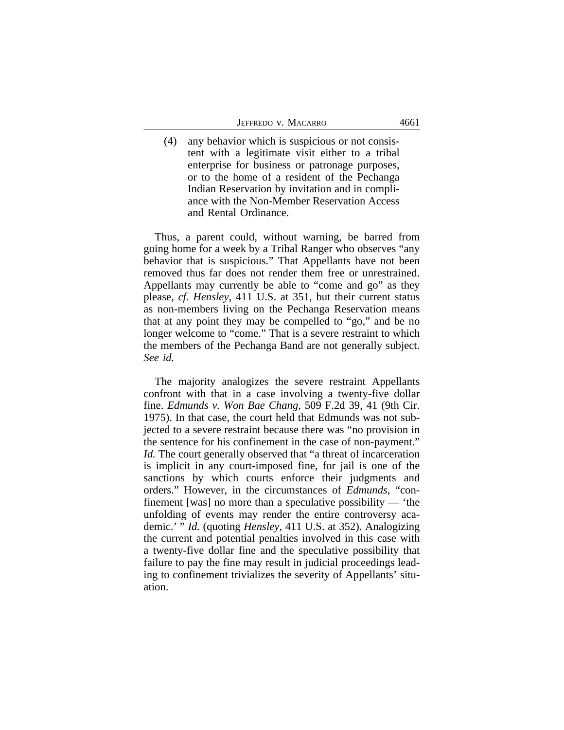(4) any behavior which is suspicious or not consistent with a legitimate visit either to a tribal enterprise for business or patronage purposes, or to the home of a resident of the Pechanga Indian Reservation by invitation and in compliance with the Non-Member Reservation Access and Rental Ordinance.

Thus, a parent could, without warning, be barred from going home for a week by a Tribal Ranger who observes "any behavior that is suspicious." That Appellants have not been removed thus far does not render them free or unrestrained. Appellants may currently be able to "come and go" as they please, *cf. Hensley*, 411 U.S. at 351, but their current status as non-members living on the Pechanga Reservation means that at any point they may be compelled to "go," and be no longer welcome to "come." That is a severe restraint to which the members of the Pechanga Band are not generally subject. *See id.*

The majority analogizes the severe restraint Appellants confront with that in a case involving a twenty-five dollar fine. *Edmunds v. Won Bae Chang*, 509 F.2d 39, 41 (9th Cir. 1975). In that case, the court held that Edmunds was not subjected to a severe restraint because there was "no provision in the sentence for his confinement in the case of non-payment." *Id.* The court generally observed that "a threat of incarceration is implicit in any court-imposed fine, for jail is one of the sanctions by which courts enforce their judgments and orders." However, in the circumstances of *Edmunds*, "confinement [was] no more than a speculative possibility — 'the unfolding of events may render the entire controversy academic.' " *Id.* (quoting *Hensley*, 411 U.S. at 352). Analogizing the current and potential penalties involved in this case with a twenty-five dollar fine and the speculative possibility that failure to pay the fine may result in judicial proceedings leading to confinement trivializes the severity of Appellants' situation.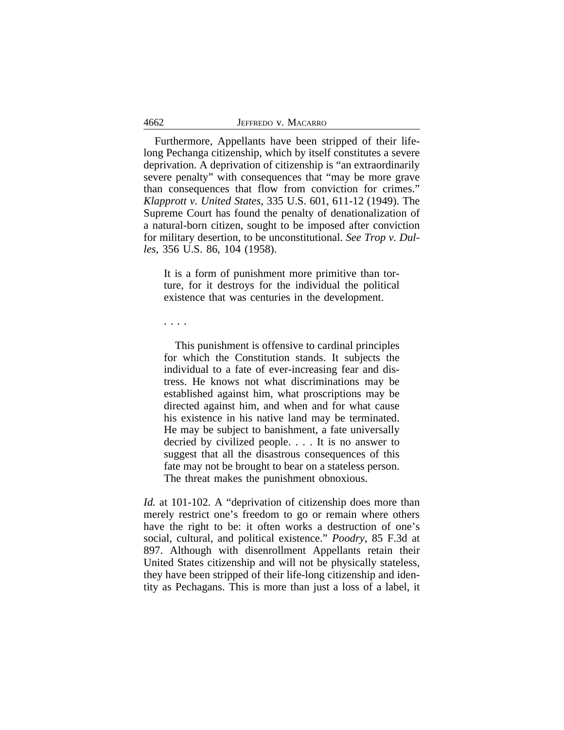| 4662 | JEFFREDO V. MACARRO |
|------|---------------------|
|      |                     |

Furthermore, Appellants have been stripped of their lifelong Pechanga citizenship, which by itself constitutes a severe deprivation. A deprivation of citizenship is "an extraordinarily severe penalty" with consequences that "may be more grave than consequences that flow from conviction for crimes." *Klapprott v. United States*, 335 U.S. 601, 611-12 (1949). The Supreme Court has found the penalty of denationalization of a natural-born citizen, sought to be imposed after conviction for military desertion, to be unconstitutional. *See Trop v. Dulles*, 356 U.S. 86, 104 (1958).

It is a form of punishment more primitive than torture, for it destroys for the individual the political existence that was centuries in the development.

. . . .

This punishment is offensive to cardinal principles for which the Constitution stands. It subjects the individual to a fate of ever-increasing fear and distress. He knows not what discriminations may be established against him, what proscriptions may be directed against him, and when and for what cause his existence in his native land may be terminated. He may be subject to banishment, a fate universally decried by civilized people. . . . It is no answer to suggest that all the disastrous consequences of this fate may not be brought to bear on a stateless person. The threat makes the punishment obnoxious.

*Id.* at 101-102. A "deprivation of citizenship does more than merely restrict one's freedom to go or remain where others have the right to be: it often works a destruction of one's social, cultural, and political existence." *Poodry*, 85 F.3d at 897. Although with disenrollment Appellants retain their United States citizenship and will not be physically stateless, they have been stripped of their life-long citizenship and identity as Pechagans. This is more than just a loss of a label, it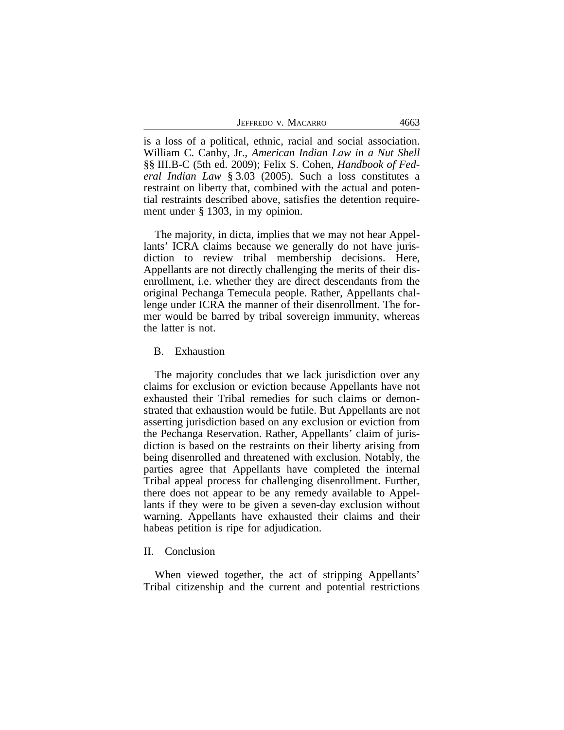| JEFFREDO V. MACARRO<br>4663 |  |
|-----------------------------|--|
|-----------------------------|--|

is a loss of a political, ethnic, racial and social association. William C. Canby, Jr., *American Indian Law in a Nut Shell* §§ III.B-C (5th ed. 2009); Felix S. Cohen, *Handbook of Federal Indian Law* § 3.03 (2005). Such a loss constitutes a restraint on liberty that, combined with the actual and potential restraints described above, satisfies the detention requirement under § 1303, in my opinion.

The majority, in dicta, implies that we may not hear Appellants' ICRA claims because we generally do not have jurisdiction to review tribal membership decisions. Here, Appellants are not directly challenging the merits of their disenrollment, i.e. whether they are direct descendants from the original Pechanga Temecula people. Rather, Appellants challenge under ICRA the manner of their disenrollment. The former would be barred by tribal sovereign immunity, whereas the latter is not.

#### B. Exhaustion

The majority concludes that we lack jurisdiction over any claims for exclusion or eviction because Appellants have not exhausted their Tribal remedies for such claims or demonstrated that exhaustion would be futile. But Appellants are not asserting jurisdiction based on any exclusion or eviction from the Pechanga Reservation. Rather, Appellants' claim of jurisdiction is based on the restraints on their liberty arising from being disenrolled and threatened with exclusion. Notably, the parties agree that Appellants have completed the internal Tribal appeal process for challenging disenrollment. Further, there does not appear to be any remedy available to Appellants if they were to be given a seven-day exclusion without warning. Appellants have exhausted their claims and their habeas petition is ripe for adjudication.

#### II. Conclusion

When viewed together, the act of stripping Appellants' Tribal citizenship and the current and potential restrictions